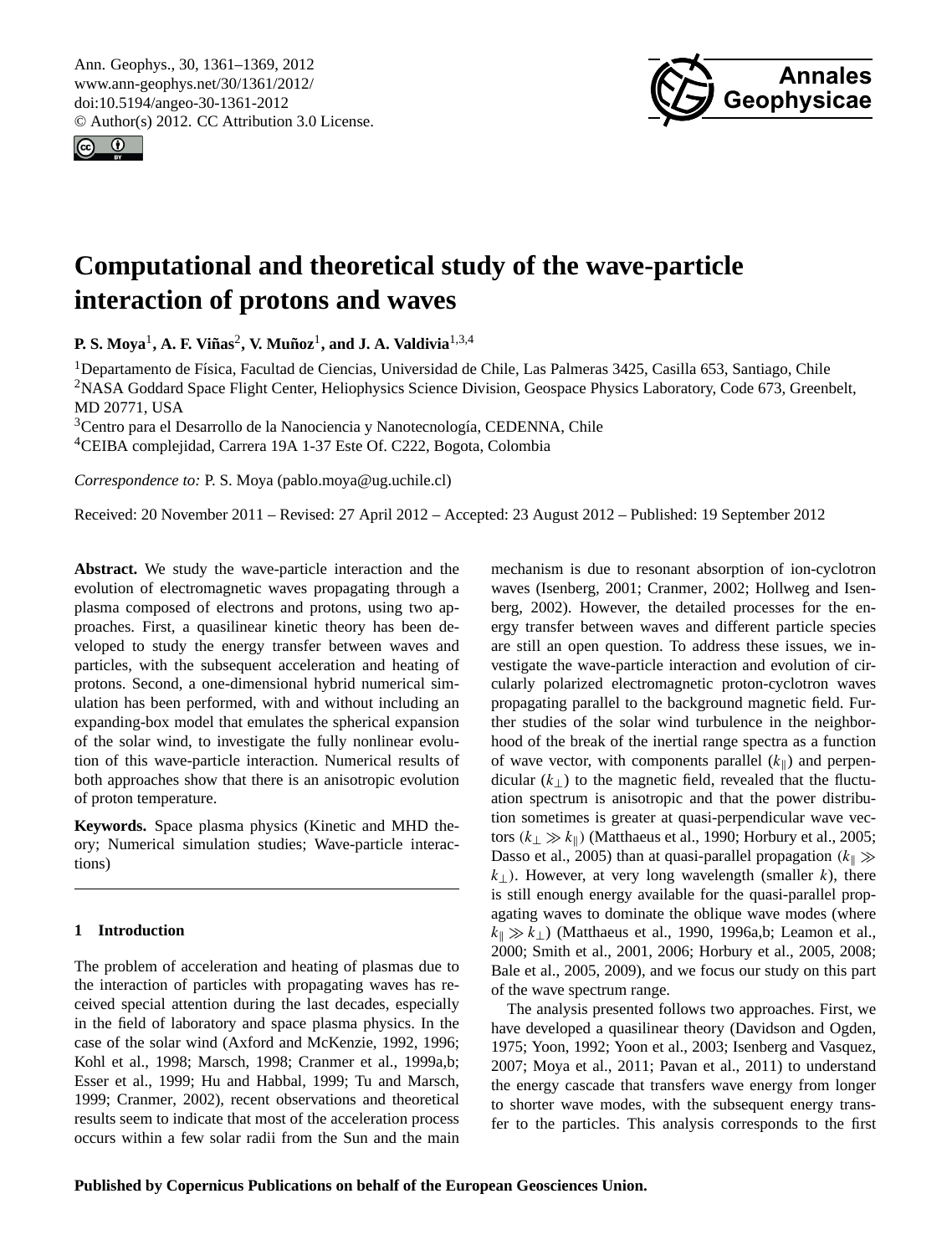<span id="page-0-0"></span>Ann. Geophys., 30, 1361–1369, 2012 www.ann-geophys.net/30/1361/2012/ doi:10.5194/angeo-30-1361-2012 © Author(s) 2012. CC Attribution 3.0 License.





# **Computational and theoretical study of the wave-particle interaction of protons and waves**

**P. S. Moya<sup>1</sup>, A. F. Viñas<sup>2</sup>, V. Muñoz<sup>1</sup>, and J. A. Valdivia<sup>1,3,4</sup>** 

<sup>1</sup>Departamento de Física, Facultad de Ciencias, Universidad de Chile, Las Palmeras 3425, Casilla 653, Santiago, Chile <sup>2</sup>NASA Goddard Space Flight Center, Heliophysics Science Division, Geospace Physics Laboratory, Code 673, Greenbelt, MD 20771, USA

<sup>3</sup>Centro para el Desarrollo de la Nanociencia y Nanotecnología, CEDENNA, Chile

<sup>4</sup>CEIBA complejidad, Carrera 19A 1-37 Este Of. C222, Bogota, Colombia

*Correspondence to:* P. S. Moya (pablo.moya@ug.uchile.cl)

Received: 20 November 2011 – Revised: 27 April 2012 – Accepted: 23 August 2012 – Published: 19 September 2012

**Abstract.** We study the wave-particle interaction and the evolution of electromagnetic waves propagating through a plasma composed of electrons and protons, using two approaches. First, a quasilinear kinetic theory has been developed to study the energy transfer between waves and particles, with the subsequent acceleration and heating of protons. Second, a one-dimensional hybrid numerical simulation has been performed, with and without including an expanding-box model that emulates the spherical expansion of the solar wind, to investigate the fully nonlinear evolution of this wave-particle interaction. Numerical results of both approaches show that there is an anisotropic evolution of proton temperature.

**Keywords.** Space plasma physics (Kinetic and MHD theory; Numerical simulation studies; Wave-particle interactions)

## **1 Introduction**

The problem of acceleration and heating of plasmas due to the interaction of particles with propagating waves has received special attention during the last decades, especially in the field of laboratory and space plasma physics. In the case of the solar wind [\(Axford and McKenzie,](#page-7-0) [1992,](#page-7-0) [1996;](#page-7-1) [Kohl et al.,](#page-8-0) [1998;](#page-8-0) [Marsch,](#page-8-1) [1998;](#page-8-1) [Cranmer et al.,](#page-7-2) [1999a,](#page-7-2)[b;](#page-7-3) [Esser et al.,](#page-7-4) [1999;](#page-7-4) [Hu and Habbal,](#page-8-2) [1999;](#page-8-2) [Tu and Marsch,](#page-8-3) [1999;](#page-8-3) [Cranmer,](#page-7-5) [2002\)](#page-7-5), recent observations and theoretical results seem to indicate that most of the acceleration process occurs within a few solar radii from the Sun and the main mechanism is due to resonant absorption of ion-cyclotron waves [\(Isenberg,](#page-8-4) [2001;](#page-8-4) [Cranmer,](#page-7-5) [2002;](#page-7-5) [Hollweg and Isen](#page-8-5)[berg,](#page-8-5) [2002\)](#page-8-5). However, the detailed processes for the energy transfer between waves and different particle species are still an open question. To address these issues, we investigate the wave-particle interaction and evolution of circularly polarized electromagnetic proton-cyclotron waves propagating parallel to the background magnetic field. Further studies of the solar wind turbulence in the neighborhood of the break of the inertial range spectra as a function of wave vector, with components parallel  $(k_{\parallel})$  and perpendicular  $(k_+)$  to the magnetic field, revealed that the fluctuation spectrum is anisotropic and that the power distribution sometimes is greater at quasi-perpendicular wave vectors ( $k_{\perp} \gg k_{\parallel}$ ) [\(Matthaeus et al.,](#page-8-6) [1990;](#page-8-6) [Horbury et al.,](#page-8-7) [2005;](#page-8-7) [Dasso et al.,](#page-7-6) [2005\)](#page-7-6) than at quasi-parallel propagation  $(k_{\parallel} \gg$  $k_{\perp}$ ). However, at very long wavelength (smaller k), there is still enough energy available for the quasi-parallel propagating waves to dominate the oblique wave modes (where  $k_{\parallel} \gg k_{\perp}$ ) [\(Matthaeus et al.,](#page-8-6) [1990,](#page-8-6) [1996a,](#page-8-8)[b;](#page-8-9) [Leamon et al.,](#page-8-10) [2000;](#page-8-10) [Smith et al.,](#page-8-11) [2001,](#page-8-11) [2006;](#page-8-12) [Horbury et al.,](#page-8-7) [2005,](#page-8-7) [2008;](#page-8-13) [Bale et al.,](#page-7-7) [2005,](#page-7-7) [2009\)](#page-7-8), and we focus our study on this part of the wave spectrum range.

The analysis presented follows two approaches. First, we have developed a quasilinear theory [\(Davidson and Ogden,](#page-7-9) [1975;](#page-7-9) [Yoon,](#page-8-14) [1992;](#page-8-14) [Yoon et al.,](#page-8-15) [2003;](#page-8-15) [Isenberg and Vasquez,](#page-8-16) [2007;](#page-8-16) [Moya et al.,](#page-8-17) [2011;](#page-8-17) [Pavan et al.,](#page-8-18) [2011\)](#page-8-18) to understand the energy cascade that transfers wave energy from longer to shorter wave modes, with the subsequent energy transfer to the particles. This analysis corresponds to the first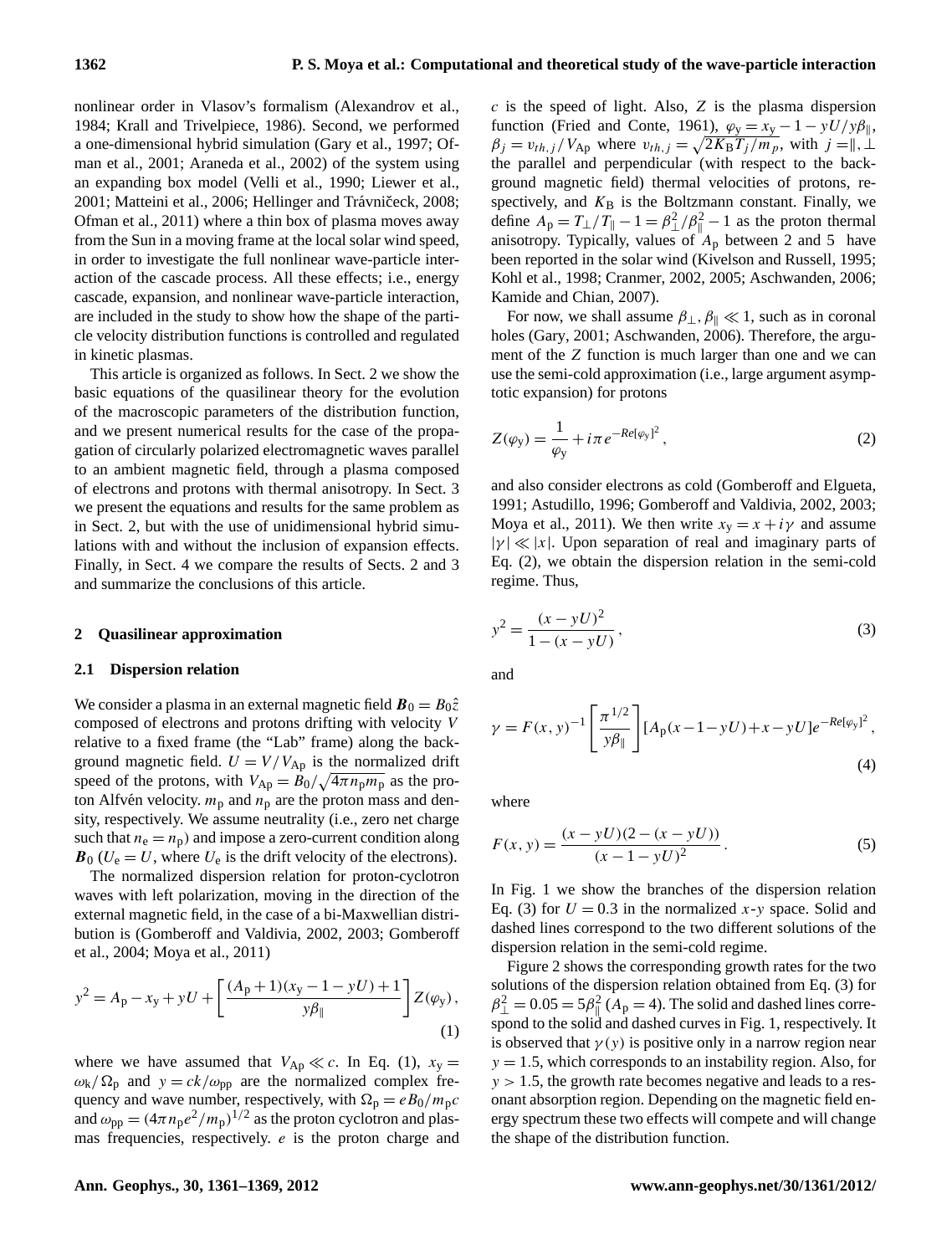nonlinear order in Vlasov's formalism [\(Alexandrov et al.,](#page-7-10) [1984;](#page-7-10) [Krall and Trivelpiece,](#page-8-19) [1986\)](#page-8-19). Second, we performed a one-dimensional hybrid simulation [\(Gary et al.,](#page-8-20) [1997;](#page-8-20) [Of](#page-8-21)[man et al.,](#page-8-21) [2001;](#page-8-21) [Araneda et al.,](#page-7-11) [2002\)](#page-7-11) of the system using an expanding box model [\(Velli et al.,](#page-8-22) [1990;](#page-8-22) [Liewer et al.,](#page-8-23) [2001;](#page-8-23) [Matteini et al.,](#page-8-24) [2006;](#page-8-24) Hellinger and Trávničeck, [2008;](#page-8-25) [Ofman et al.,](#page-8-26) [2011\)](#page-8-26) where a thin box of plasma moves away from the Sun in a moving frame at the local solar wind speed, in order to investigate the full nonlinear wave-particle interaction of the cascade process. All these effects; i.e., energy cascade, expansion, and nonlinear wave-particle interaction, are included in the study to show how the shape of the particle velocity distribution functions is controlled and regulated in kinetic plasmas.

This article is organized as follows. In Sect. [2](#page-1-0) we show the basic equations of the quasilinear theory for the evolution of the macroscopic parameters of the distribution function, and we present numerical results for the case of the propagation of circularly polarized electromagnetic waves parallel to an ambient magnetic field, through a plasma composed of electrons and protons with thermal anisotropy. In Sect. [3](#page-4-0) we present the equations and results for the same problem as in Sect. [2,](#page-1-0) but with the use of unidimensional hybrid simulations with and without the inclusion of expansion effects. Finally, in Sect. [4](#page-7-12) we compare the results of Sects. [2](#page-1-0) and [3](#page-4-0) and summarize the conclusions of this article.

#### <span id="page-1-0"></span>**2 Quasilinear approximation**

#### **2.1 Dispersion relation**

We consider a plasma in an external magnetic field  $\mathbf{B}_0 = B_0\hat{z}$ composed of electrons and protons drifting with velocity V relative to a fixed frame (the "Lab" frame) along the background magnetic field.  $U = V/V_{Ap}$  is the normalized drift speed of the protons, with  $V_{Ap} = \bar{B}_0 / \sqrt{4 \pi n_p m_p}$  as the proton Alfvén velocity.  $m_p$  and  $n_p$  are the proton mass and density, respectively. We assume neutrality (i.e., zero net charge such that  $n_e = n_p$ ) and impose a zero-current condition along  $\mathbf{B}_0$  ( $U_e = U$ , where  $U_e$  is the drift velocity of the electrons).

The normalized dispersion relation for proton-cyclotron waves with left polarization, moving in the direction of the external magnetic field, in the case of a bi-Maxwellian distribution is [\(Gomberoff and Valdivia,](#page-8-27) [2002,](#page-8-27) [2003;](#page-8-28) [Gomberoff](#page-8-29) [et al.,](#page-8-29) [2004;](#page-8-29) [Moya et al.,](#page-8-17) [2011\)](#page-8-17)

<span id="page-1-1"></span>
$$
y^{2} = A_{p} - x_{y} + yU + \left[\frac{(A_{p} + 1)(x_{y} - 1 - yU) + 1}{y\beta_{\parallel}}\right]Z(\varphi_{y}),
$$
\n(1)

where we have assumed that  $V_{Ap} \ll c$ . In Eq. [\(1\)](#page-1-1),  $x_y =$  $\omega_{\rm k}/\Omega_{\rm p}$  and  $y = ck/\omega_{\rm pp}$  are the normalized complex frequency and wave number, respectively, with  $\Omega_p = eB_0/m_p c$ and  $\omega_{\rm pp} = (4\pi n_{\rm p} e^2/m_{\rm p})^{1/2}$  as the proton cyclotron and plasmas frequencies, respectively.  $e$  is the proton charge and  $c$  is the speed of light. Also,  $Z$  is the plasma dispersion function [\(Fried and Conte,](#page-7-13) [1961\)](#page-7-13),  $\varphi_y = x_y - 1 - yU/y\beta_{\parallel}$ ,  $\beta_j = v_{th,j} / V_{Ap}$  where  $v_{th,j} = \sqrt{2K_B T_j / m_p}$ , with  $j = \parallel, \perp$ the parallel and perpendicular (with respect to the background magnetic field) thermal velocities of protons, respectively, and  $K_B$  is the Boltzmann constant. Finally, we define  $A_p = T_\perp/T_\parallel - 1 = \beta_\perp^2/\beta_\parallel^2 - 1$  as the proton thermal anisotropy. Typically, values of  $A_p$  between 2 and 5 have been reported in the solar wind [\(Kivelson and Russell,](#page-8-30) [1995;](#page-8-30) [Kohl et al.,](#page-8-0) [1998;](#page-8-0) [Cranmer,](#page-7-5) [2002,](#page-7-5) [2005;](#page-7-14) [Aschwanden,](#page-7-15) [2006;](#page-7-15) [Kamide and Chian,](#page-8-31) [2007\)](#page-8-31).

For now, we shall assume  $\beta_{\perp}, \beta_{\parallel} \ll 1$ , such as in coronal holes [\(Gary,](#page-7-16) [2001;](#page-7-16) [Aschwanden,](#page-7-15) [2006\)](#page-7-15). Therefore, the argument of the Z function is much larger than one and we can use the semi-cold approximation (i.e., large argument asymptotic expansion) for protons

<span id="page-1-2"></span>
$$
Z(\varphi_{y}) = \frac{1}{\varphi_{y}} + i\pi e^{-Re[\varphi_{y}]^{2}},
$$
\n(2)

and also consider electrons as cold [\(Gomberoff and Elgueta,](#page-8-32) [1991;](#page-8-32) [Astudillo,](#page-7-17) [1996;](#page-7-17) [Gomberoff and Valdivia,](#page-8-27) [2002,](#page-8-27) [2003;](#page-8-28) [Moya et al.,](#page-8-17) [2011\)](#page-8-17). We then write  $x_y = x + i\gamma$  and assume  $|\gamma| \ll |x|$ . Upon separation of real and imaginary parts of Eq. [\(2\)](#page-1-2), we obtain the dispersion relation in the semi-cold regime. Thus,

<span id="page-1-3"></span>
$$
y^2 = \frac{(x - yU)^2}{1 - (x - yU)},
$$
\n(3)

<span id="page-1-4"></span>and

$$
\gamma = F(x, y)^{-1} \left[ \frac{\pi^{1/2}}{y\beta_{\parallel}} \right] [A_{p}(x - 1 - yU) + x - yU] e^{-Re[\varphi_{y}]^{2}},
$$
\n(4)

where

$$
F(x, y) = \frac{(x - yU)(2 - (x - yU))}{(x - 1 - yU)^2}.
$$
 (5)

In Fig. [1](#page-2-0) we show the branches of the dispersion relation Eq. [\(3\)](#page-1-3) for  $U = 0.3$  in the normalized x-y space. Solid and dashed lines correspond to the two different solutions of the dispersion relation in the semi-cold regime.

Figure [2](#page-2-1) shows the corresponding growth rates for the two solutions of the dispersion relation obtained from Eq. [\(3\)](#page-1-3) for  $\beta_{\perp}^2 = 0.05 = 5\beta_{\parallel}^2$  (A<sub>p</sub> = 4). The solid and dashed lines correspond to the solid and dashed curves in Fig. [1,](#page-2-0) respectively. It is observed that  $\gamma(y)$  is positive only in a narrow region near  $y = 1.5$ , which corresponds to an instability region. Also, for  $y > 1.5$ , the growth rate becomes negative and leads to a resonant absorption region. Depending on the magnetic field energy spectrum these two effects will compete and will change the shape of the distribution function.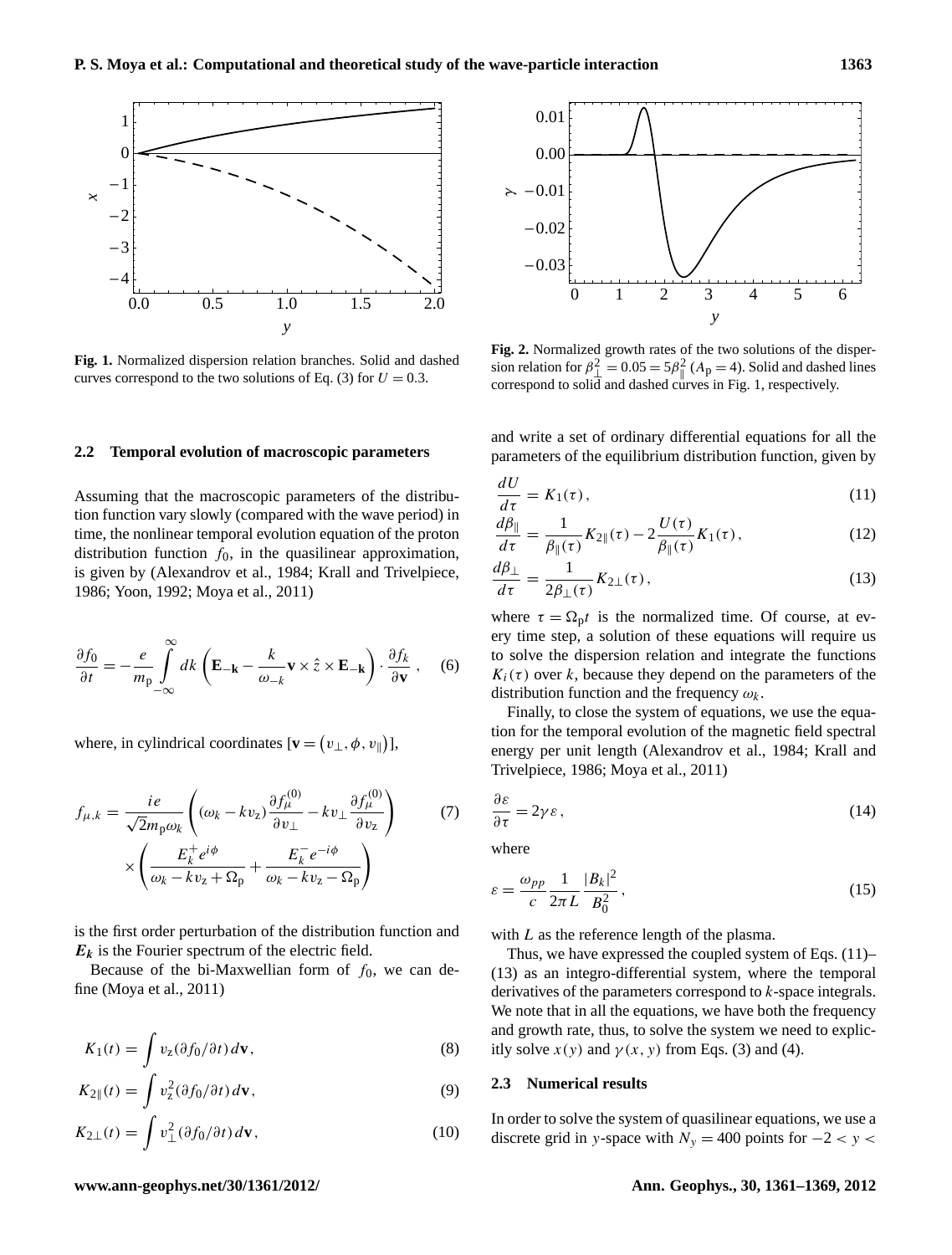

<span id="page-2-0"></span>**Fig. 1.** Normalized dispersion relation branches. Solid and dashed curves correspond to the two solutions of Eq. [\(3\)](#page-1-3) for  $U = 0.3$ .

## **2.2 Temporal evolution of macroscopic parameters**

Assuming that the macroscopic parameters of the distribution function vary slowly (compared with the wave period) in time, the nonlinear temporal evolution equation of the proton distribution function  $f_0$ , in the quasilinear approximation, is given by [\(Alexandrov et al.,](#page-7-10) [1984;](#page-7-10) [Krall and Trivelpiece,](#page-8-19) [1986;](#page-8-19) [Yoon,](#page-8-14) [1992;](#page-8-14) [Moya et al.,](#page-8-17) [2011\)](#page-8-17)

$$
\frac{\partial f_0}{\partial t} = -\frac{e}{m_\text{p}} \int_{-\infty}^{\infty} dk \left( \mathbf{E}_{-\mathbf{k}} - \frac{k}{\omega_{-k}} \mathbf{v} \times \hat{z} \times \mathbf{E}_{-\mathbf{k}} \right) \cdot \frac{\partial f_k}{\partial \mathbf{v}} , \quad (6)
$$

where, in cylindrical coordinates  $[\mathbf{v} = (v_{\perp}, \phi, v_{\parallel})]$ ,

$$
f_{\mu,k} = \frac{ie}{\sqrt{2}m_p\omega_k} \left( (\omega_k - kv_z) \frac{\partial f_{\mu}^{(0)}}{\partial v_{\perp}} - kv_{\perp} \frac{\partial f_{\mu}^{(0)}}{\partial v_z} \right) \tag{7}
$$

$$
\times \left( \frac{E_k^+ e^{i\phi}}{\omega_k - kv_z + \Omega_p} + \frac{E_k^- e^{-i\phi}}{\omega_k - kv_z - \Omega_p} \right)
$$

is the first order perturbation of the distribution function and  $E_k$  is the Fourier spectrum of the electric field.

Because of the bi-Maxwellian form of  $f_0$ , we can define [\(Moya et al.,](#page-8-17) [2011\)](#page-8-17)

$$
K_1(t) = \int v_z(\partial f_0/\partial t) d\mathbf{v},\qquad(8)
$$

$$
K_{2\parallel}(t) = \int v_z^2(\partial f_0/\partial t) \, d\mathbf{v},\tag{9}
$$

$$
K_{2\perp}(t) = \int v_{\perp}^2 (\partial f_0 / \partial t) \, d\mathbf{v},\tag{10}
$$



<span id="page-2-1"></span>**Fig. 2.** Normalized growth rates of the two solutions of the dispersion relation for  $\beta_{\perp}^2 = 0.05 = 5\beta_{\parallel}^2$  (A<sub>p</sub> = 4). Solid and dashed lines correspond to solid and dashed curves in Fig. [1,](#page-2-0) respectively.

and write a set of ordinary differential equations for all the parameters of the equilibrium distribution function, given by

$$
\frac{dU}{d\tau} = K_1(\tau),\tag{11}
$$

<span id="page-2-2"></span>
$$
\frac{d\beta_{\parallel}}{d\tau} = \frac{1}{\beta_{\parallel}(\tau)} K_{2\parallel}(\tau) - 2 \frac{U(\tau)}{\beta_{\parallel}(\tau)} K_{1}(\tau), \qquad (12)
$$

$$
\frac{d\beta_{\perp}}{d\tau} = \frac{1}{2\beta_{\perp}(\tau)} K_{2\perp}(\tau),\tag{13}
$$

where  $\tau = \Omega_p t$  is the normalized time. Of course, at every time step, a solution of these equations will require us to solve the dispersion relation and integrate the functions  $K_i(\tau)$  over k, because they depend on the parameters of the distribution function and the frequency  $\omega_k$ .

Finally, to close the system of equations, we use the equation for the temporal evolution of the magnetic field spectral energy per unit length [\(Alexandrov et al.,](#page-7-10) [1984;](#page-7-10) [Krall and](#page-8-19) [Trivelpiece,](#page-8-19) [1986;](#page-8-19) [Moya et al.,](#page-8-17) [2011\)](#page-8-17)

<span id="page-2-3"></span>
$$
\frac{\partial \varepsilon}{\partial \tau} = 2\gamma \varepsilon \,,\tag{14}
$$

where

$$
\varepsilon = \frac{\omega_{pp}}{c} \frac{1}{2\pi L} \frac{|B_k|^2}{B_0^2},\tag{15}
$$

with *L* as the reference length of the plasma.

Thus, we have expressed the coupled system of Eqs. [\(11\)](#page-2-2)– [\(13\)](#page-2-2) as an integro-differential system, where the temporal derivatives of the parameters correspond to  $k$ -space integrals. We note that in all the equations, we have both the frequency and growth rate, thus, to solve the system we need to explicitly solve  $x(y)$  and  $y(x, y)$  from Eqs. [\(3\)](#page-1-3) and [\(4\)](#page-1-4).

#### **2.3 Numerical results**

In order to solve the system of quasilinear equations, we use a discrete grid in y-space with  $N_y = 400$  points for  $-2 < y <$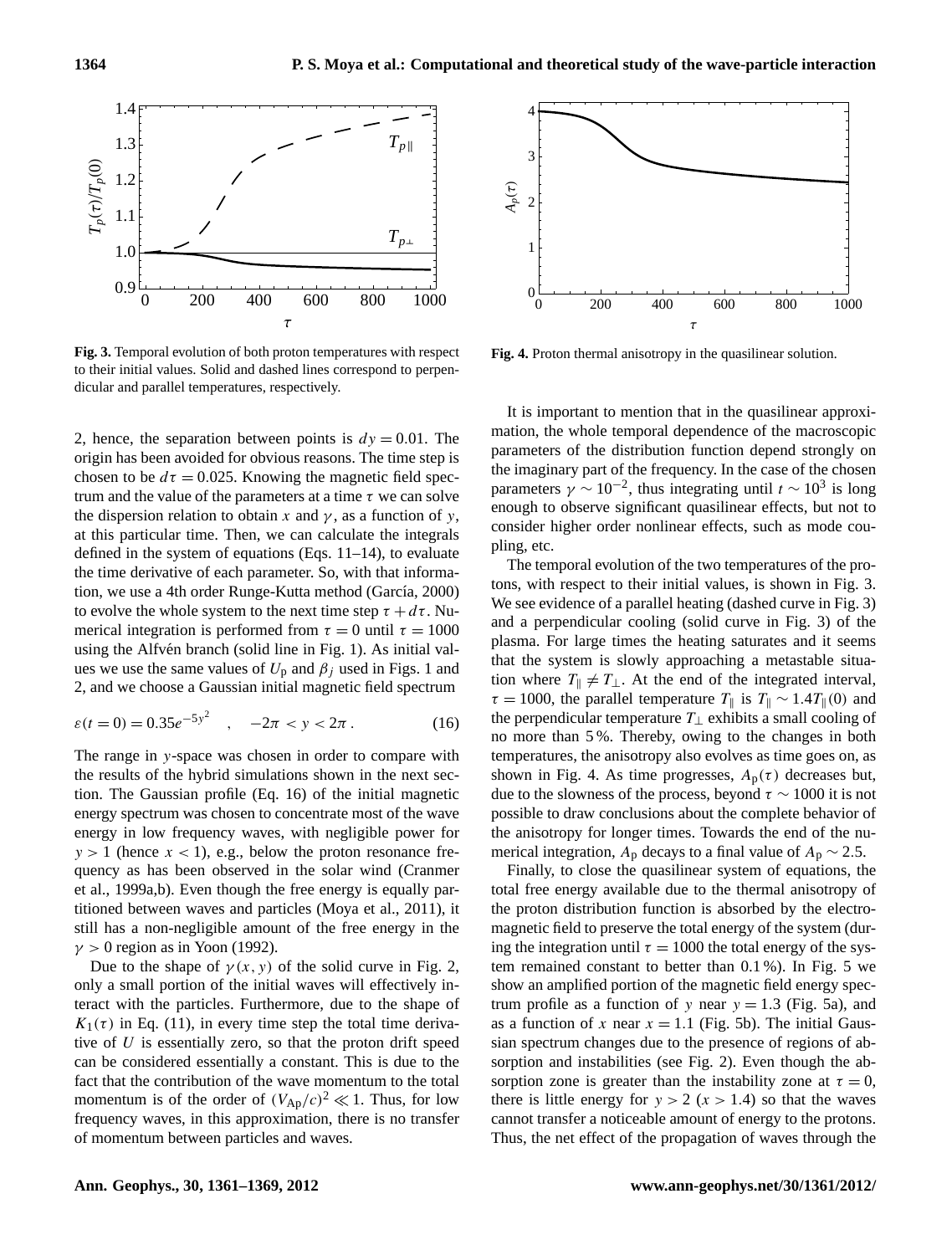

<span id="page-3-1"></span>**Fig. 3.** Temporal evolution of both proton temperatures with respect to their initial values. Solid and dashed lines correspond to perpendicular and parallel temperatures, respectively.

2, hence, the separation between points is  $dy = 0.01$ . The origin has been avoided for obvious reasons. The time step is chosen to be  $d\tau = 0.025$ . Knowing the magnetic field spectrum and the value of the parameters at a time  $\tau$  we can solve the dispersion relation to obtain x and  $\gamma$ , as a function of y, at this particular time. Then, we can calculate the integrals defined in the system of equations (Eqs. [11–](#page-2-2)[14\)](#page-2-3), to evaluate the time derivative of each parameter. So, with that informa-tion, we use a 4th order Runge-Kutta method (García, [2000\)](#page-7-18) to evolve the whole system to the next time step  $\tau + d\tau$ . Numerical integration is performed from  $\tau = 0$  until  $\tau = 1000$ using the Alfvén branch (solid line in Fig. [1\)](#page-2-0). As initial values we use the same values of  $U_p$  and  $\beta_j$  used in Figs. [1](#page-2-0) and [2,](#page-2-1) and we choose a Gaussian initial magnetic field spectrum

$$
\varepsilon(t=0) = 0.35e^{-5y^2} \quad , \quad -2\pi < y < 2\pi \,. \tag{16}
$$

The range in y-space was chosen in order to compare with the results of the hybrid simulations shown in the next section. The Gaussian profile (Eq. [16\)](#page-3-0) of the initial magnetic energy spectrum was chosen to concentrate most of the wave energy in low frequency waves, with negligible power for  $y > 1$  (hence  $x < 1$ ), e.g., below the proton resonance frequency as has been observed in the solar wind [\(Cranmer](#page-7-2) [et al.,](#page-7-2) [1999a,](#page-7-2)[b\)](#page-7-3). Even though the free energy is equally partitioned between waves and particles [\(Moya et al.,](#page-8-17) [2011\)](#page-8-17), it still has a non-negligible amount of the free energy in the  $\gamma > 0$  region as in [Yoon](#page-8-14) [\(1992\)](#page-8-14).

Due to the shape of  $\gamma(x, y)$  of the solid curve in Fig. [2,](#page-2-1) only a small portion of the initial waves will effectively interact with the particles. Furthermore, due to the shape of  $K_1(\tau)$  in Eq. [\(11\)](#page-2-2), in every time step the total time derivative of  $U$  is essentially zero, so that the proton drift speed can be considered essentially a constant. This is due to the fact that the contribution of the wave momentum to the total momentum is of the order of  $(V_{\rm Ap}/c)^2 \ll 1$ . Thus, for low frequency waves, in this approximation, there is no transfer of momentum between particles and waves.



<span id="page-3-2"></span>**Fig. 4.** Proton thermal anisotropy in the quasilinear solution.

It is important to mention that in the quasilinear approximation, the whole temporal dependence of the macroscopic parameters of the distribution function depend strongly on the imaginary part of the frequency. In the case of the chosen parameters  $\gamma \sim 10^{-2}$ , thus integrating until  $t \sim 10^3$  is long enough to observe significant quasilinear effects, but not to consider higher order nonlinear effects, such as mode coupling, etc.

<span id="page-3-0"></span>The temporal evolution of the two temperatures of the protons, with respect to their initial values, is shown in Fig. [3.](#page-3-1) We see evidence of a parallel heating (dashed curve in Fig. [3\)](#page-3-1) and a perpendicular cooling (solid curve in Fig. [3\)](#page-3-1) of the plasma. For large times the heating saturates and it seems that the system is slowly approaching a metastable situation where  $T_{\parallel} \neq T_{\perp}$ . At the end of the integrated interval,  $\tau = 1000$ , the parallel temperature  $T_{\parallel}$  is  $T_{\parallel} \sim 1.4T_{\parallel}(0)$  and the perpendicular temperature  $T_{\perp}$  exhibits a small cooling of no more than 5 %. Thereby, owing to the changes in both temperatures, the anisotropy also evolves as time goes on, as shown in Fig. [4.](#page-3-2) As time progresses,  $A_p(\tau)$  decreases but, due to the slowness of the process, beyond  $\tau \sim 1000$  it is not possible to draw conclusions about the complete behavior of the anisotropy for longer times. Towards the end of the numerical integration,  $A_p$  decays to a final value of  $A_p \sim 2.5$ .

Finally, to close the quasilinear system of equations, the total free energy available due to the thermal anisotropy of the proton distribution function is absorbed by the electromagnetic field to preserve the total energy of the system (during the integration until  $\tau = 1000$  the total energy of the system remained constant to better than 0.1 %). In Fig. [5](#page-4-1) we show an amplified portion of the magnetic field energy spectrum profile as a function of y near  $y = 1.3$  (Fig. [5a](#page-4-1)), and as a function of x near  $x = 1.1$  (Fig. [5b](#page-4-1)). The initial Gaussian spectrum changes due to the presence of regions of absorption and instabilities (see Fig. [2\)](#page-2-1). Even though the absorption zone is greater than the instability zone at  $\tau = 0$ , there is little energy for  $y > 2$  ( $x > 1.4$ ) so that the waves cannot transfer a noticeable amount of energy to the protons. Thus, the net effect of the propagation of waves through the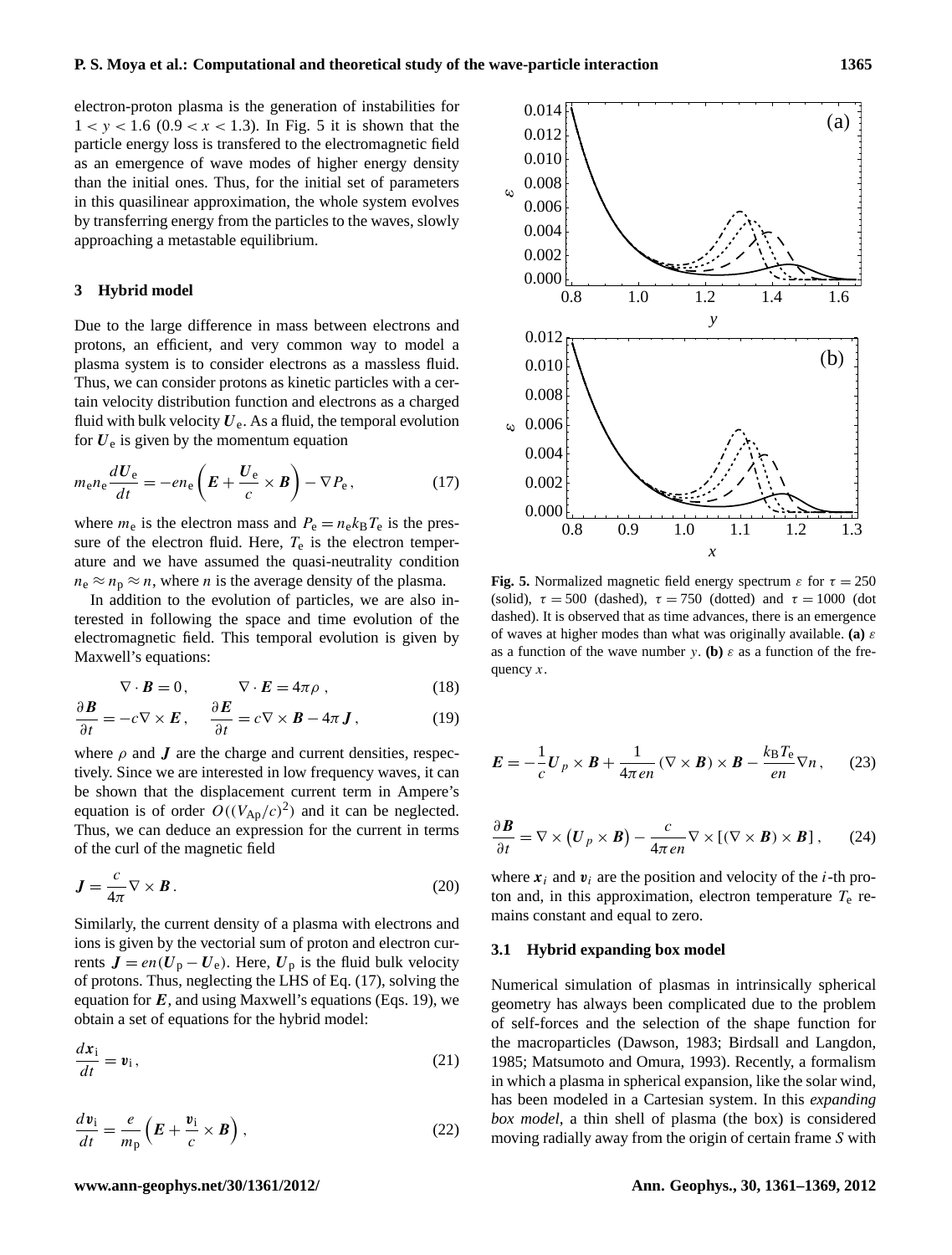electron-proton plasma is the generation of instabilities for  $1 < y < 1.6$  (0.9  $< x < 1.3$ ). In Fig. [5](#page-4-1) it is shown that the particle energy loss is transfered to the electromagnetic field as an emergence of wave modes of higher energy density than the initial ones. Thus, for the initial set of parameters in this quasilinear approximation, the whole system evolves by transferring energy from the particles to the waves, slowly approaching a metastable equilibrium.

#### <span id="page-4-0"></span>**3 Hybrid model**

Due to the large difference in mass between electrons and protons, an efficient, and very common way to model a plasma system is to consider electrons as a massless fluid. Thus, we can consider protons as kinetic particles with a certain velocity distribution function and electrons as a charged fluid with bulk velocity  $U_e$ . As a fluid, the temporal evolution for  $U_e$  is given by the momentum equation

$$
m_{\rm e}n_{\rm e}\frac{dU_{\rm e}}{dt} = -en_{\rm e}\left(E + \frac{U_{\rm e}}{c} \times B\right) - \nabla P_{\rm e},\qquad(17)
$$

where  $m_e$  is the electron mass and  $P_e = n_e k_B T_e$  is the pressure of the electron fluid. Here,  $T_e$  is the electron temperature and we have assumed the quasi-neutrality condition  $n_e \approx n_p \approx n$ , where *n* is the average density of the plasma.

In addition to the evolution of particles, we are also interested in following the space and time evolution of the electromagnetic field. This temporal evolution is given by Maxwell's equations:

<span id="page-4-3"></span>
$$
\nabla \cdot \boldsymbol{B} = 0, \qquad \nabla \cdot \boldsymbol{E} = 4\pi \rho , \qquad (18)
$$

$$
\frac{\partial \boldsymbol{B}}{\partial t} = -c \nabla \times \boldsymbol{E} \,, \quad \frac{\partial \boldsymbol{E}}{\partial t} = c \nabla \times \boldsymbol{B} - 4\pi \boldsymbol{J} \,, \tag{19}
$$

where  $\rho$  and  $J$  are the charge and current densities, respectively. Since we are interested in low frequency waves, it can be shown that the displacement current term in Ampere's equation is of order  $O((V_{\rm Ap}/c)^2)$  and it can be neglected. Thus, we can deduce an expression for the current in terms of the curl of the magnetic field

$$
\mathbf{J} = \frac{c}{4\pi} \nabla \times \mathbf{B} \,. \tag{20}
$$

Similarly, the current density of a plasma with electrons and ions is given by the vectorial sum of proton and electron currents  $J = en(U_p - U_e)$ . Here,  $U_p$  is the fluid bulk velocity of protons. Thus, neglecting the LHS of Eq. [\(17\)](#page-4-2), solving the equation for  $E$ , and using Maxwell's equations (Eqs. [19\)](#page-4-3), we obtain a set of equations for the hybrid model:

$$
\frac{d\mathbf{x}_i}{dt} = \mathbf{v}_i,\tag{21}
$$

$$
\frac{dv_{\rm i}}{dt} = \frac{e}{m_{\rm p}} \left( E + \frac{v_{\rm i}}{c} \times B \right),\tag{22}
$$



<span id="page-4-2"></span><span id="page-4-1"></span>**Fig. 5.** Normalized magnetic field energy spectrum  $\varepsilon$  for  $\tau = 250$ (solid),  $\tau = 500$  (dashed),  $\tau = 750$  (dotted) and  $\tau = 1000$  (dot dashed). It is observed that as time advances, there is an emergence of waves at higher modes than what was originally available. **(a)** ε as a function of the wave number y. **(b)**  $\varepsilon$  as a function of the frequency  $x$ .

$$
\boldsymbol{E} = -\frac{1}{c}\boldsymbol{U}_p \times \boldsymbol{B} + \frac{1}{4\pi en} (\nabla \times \boldsymbol{B}) \times \boldsymbol{B} - \frac{k_\text{B}T_\text{e}}{en} \nabla n, \qquad (23)
$$

<span id="page-4-5"></span>
$$
\frac{\partial \boldsymbol{B}}{\partial t} = \nabla \times (\boldsymbol{U}_p \times \boldsymbol{B}) - \frac{c}{4\pi e n} \nabla \times [(\nabla \times \boldsymbol{B}) \times \boldsymbol{B}], \qquad (24)
$$

where  $x_i$  and  $v_i$  are the position and velocity of the *i*-th proton and, in this approximation, electron temperature  $T_e$  remains constant and equal to zero.

#### **3.1 Hybrid expanding box model**

<span id="page-4-4"></span>Numerical simulation of plasmas in intrinsically spherical geometry has always been complicated due to the problem of self-forces and the selection of the shape function for the macroparticles [\(Dawson,](#page-7-19) [1983;](#page-7-19) [Birdsall and Langdon,](#page-7-20) [1985;](#page-7-20) [Matsumoto and Omura,](#page-8-33) [1993\)](#page-8-33). Recently, a formalism in which a plasma in spherical expansion, like the solar wind, has been modeled in a Cartesian system. In this *expanding box model*, a thin shell of plasma (the box) is considered moving radially away from the origin of certain frame S with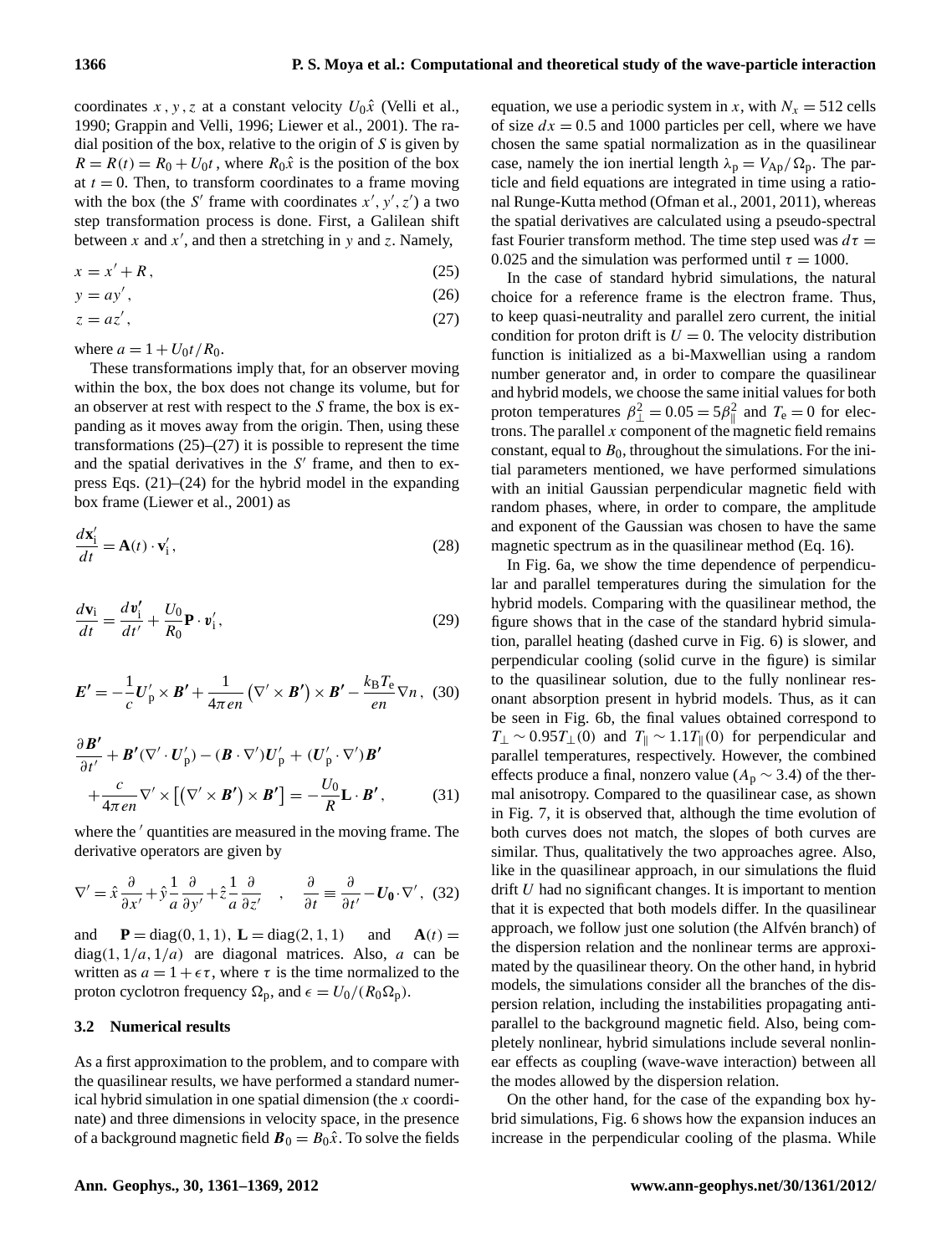coordinates x, y, z at a constant velocity  $U_0\hat{x}$  [\(Velli et al.,](#page-8-22) [1990;](#page-8-22) [Grappin and Velli,](#page-8-34) [1996;](#page-8-34) [Liewer et al.,](#page-8-23) [2001\)](#page-8-23). The radial position of the box, relative to the origin of  $S$  is given by  $R = R(t) = R_0 + U_0 t$ , where  $R_0 \hat{x}$  is the position of the box at  $t = 0$ . Then, to transform coordinates to a frame moving with the box (the S' frame with coordinates  $x', y', z'$ ) a two step transformation process is done. First, a Galilean shift between x and  $x'$ , and then a stretching in y and z. Namely,

$$
x = x' + R,\tag{25}
$$

<span id="page-5-0"></span>
$$
y = ay',\tag{26}
$$

$$
z = az',\tag{27}
$$

where  $a = 1 + U_0 t / R_0$ .

These transformations imply that, for an observer moving within the box, the box does not change its volume, but for an observer at rest with respect to the S frame, the box is expanding as it moves away from the origin. Then, using these transformations  $(25)$ – $(27)$  it is possible to represent the time and the spatial derivatives in the  $S'$  frame, and then to express Eqs. [\(21\)](#page-4-4)–[\(24\)](#page-4-5) for the hybrid model in the expanding box frame [\(Liewer et al.,](#page-8-23) [2001\)](#page-8-23) as

$$
\frac{d\mathbf{x}'_i}{dt} = \mathbf{A}(t) \cdot \mathbf{v}'_i,\tag{28}
$$

$$
\frac{d\mathbf{v}_i}{dt} = \frac{d\mathbf{v}_i'}{dt'} + \frac{U_0}{R_0}\mathbf{P} \cdot \mathbf{v}_i',\tag{29}
$$

$$
\boldsymbol{E'} = -\frac{1}{c}\boldsymbol{U}_p' \times \boldsymbol{B'} + \frac{1}{4\pi en} (\nabla' \times \boldsymbol{B'}) \times \boldsymbol{B'} - \frac{k_\text{B}T_\text{e}}{en} \nabla n, (30)
$$

$$
\frac{\partial \boldsymbol{B}'}{\partial t'} + \boldsymbol{B}' (\nabla' \cdot \boldsymbol{U}'_p) - (\boldsymbol{B} \cdot \nabla') \boldsymbol{U}'_p + (\boldsymbol{U}'_p \cdot \nabla') \boldsymbol{B}' + \frac{c}{4\pi en} \nabla' \times [(\nabla' \times \boldsymbol{B}') \times \boldsymbol{B}'] = -\frac{U_0}{R} \mathbf{L} \cdot \boldsymbol{B}', \tag{31}
$$

where the  $\prime$  quantities are measured in the moving frame. The derivative operators are given by

$$
\nabla' = \hat{x}\frac{\partial}{\partial x'} + \hat{y}\frac{1}{a}\frac{\partial}{\partial y'} + \hat{z}\frac{1}{a}\frac{\partial}{\partial z'} , \quad \frac{\partial}{\partial t} = \frac{\partial}{\partial t'} - U_0 \cdot \nabla', \tag{32}
$$

and **P** = diag(0, 1, 1), **L** = diag(2, 1, 1) and **A**(t) =  $diag(1,1/a,1/a)$  are diagonal matrices. Also, a can be written as  $a = 1 + \epsilon \tau$ , where  $\tau$  is the time normalized to the proton cyclotron frequency  $\Omega_p$ , and  $\epsilon = U_0/(R_0\Omega_p)$ .

#### **3.2 Numerical results**

As a first approximation to the problem, and to compare with the quasilinear results, we have performed a standard numerical hybrid simulation in one spatial dimension (the x coordinate) and three dimensions in velocity space, in the presence of a background magnetic field  $\mathbf{B}_0 = B_0 \hat{x}$ . To solve the fields equation, we use a periodic system in x, with  $N_x = 512$  cells of size  $dx = 0.5$  and 1000 particles per cell, where we have chosen the same spatial normalization as in the quasilinear case, namely the ion inertial length  $\lambda_p = V_{Ap}/\Omega_p$ . The particle and field equations are integrated in time using a rational Runge-Kutta method [\(Ofman et al.,](#page-8-21) [2001,](#page-8-21) [2011\)](#page-8-26), whereas the spatial derivatives are calculated using a pseudo-spectral fast Fourier transform method. The time step used was  $d\tau =$ 0.025 and the simulation was performed until  $\tau = 1000$ .

In the case of standard hybrid simulations, the natural choice for a reference frame is the electron frame. Thus, to keep quasi-neutrality and parallel zero current, the initial condition for proton drift is  $U = 0$ . The velocity distribution function is initialized as a bi-Maxwellian using a random number generator and, in order to compare the quasilinear and hybrid models, we choose the same initial values for both proton temperatures  $\beta_{\perp}^2 = 0.05 = 5\beta_{\parallel}^2$  and  $T_e = 0$  for electrons. The parallel  $x$  component of the magnetic field remains constant, equal to  $B_0$ , throughout the simulations. For the initial parameters mentioned, we have performed simulations with an initial Gaussian perpendicular magnetic field with random phases, where, in order to compare, the amplitude and exponent of the Gaussian was chosen to have the same magnetic spectrum as in the quasilinear method (Eq. [16\)](#page-3-0).

In Fig. [6a](#page-6-0), we show the time dependence of perpendicular and parallel temperatures during the simulation for the hybrid models. Comparing with the quasilinear method, the figure shows that in the case of the standard hybrid simulation, parallel heating (dashed curve in Fig. [6\)](#page-6-0) is slower, and perpendicular cooling (solid curve in the figure) is similar to the quasilinear solution, due to the fully nonlinear resonant absorption present in hybrid models. Thus, as it can be seen in Fig. [6b](#page-6-0), the final values obtained correspond to  $T_{\perp}$  ~ 0.95 $T_{\perp}(0)$  and  $T_{\parallel}$  ~ 1.1T<sub>||</sub>(0) for perpendicular and parallel temperatures, respectively. However, the combined effects produce a final, nonzero value ( $A_p \sim 3.4$ ) of the thermal anisotropy. Compared to the quasilinear case, as shown in Fig. [7,](#page-6-1) it is observed that, although the time evolution of both curves does not match, the slopes of both curves are similar. Thus, qualitatively the two approaches agree. Also, like in the quasilinear approach, in our simulations the fluid drift U had no significant changes. It is important to mention that it is expected that both models differ. In the quasilinear approach, we follow just one solution (the Alfvén branch) of the dispersion relation and the nonlinear terms are approximated by the quasilinear theory. On the other hand, in hybrid models, the simulations consider all the branches of the dispersion relation, including the instabilities propagating antiparallel to the background magnetic field. Also, being completely nonlinear, hybrid simulations include several nonlinear effects as coupling (wave-wave interaction) between all the modes allowed by the dispersion relation.

On the other hand, for the case of the expanding box hybrid simulations, Fig. [6](#page-6-0) shows how the expansion induces an increase in the perpendicular cooling of the plasma. While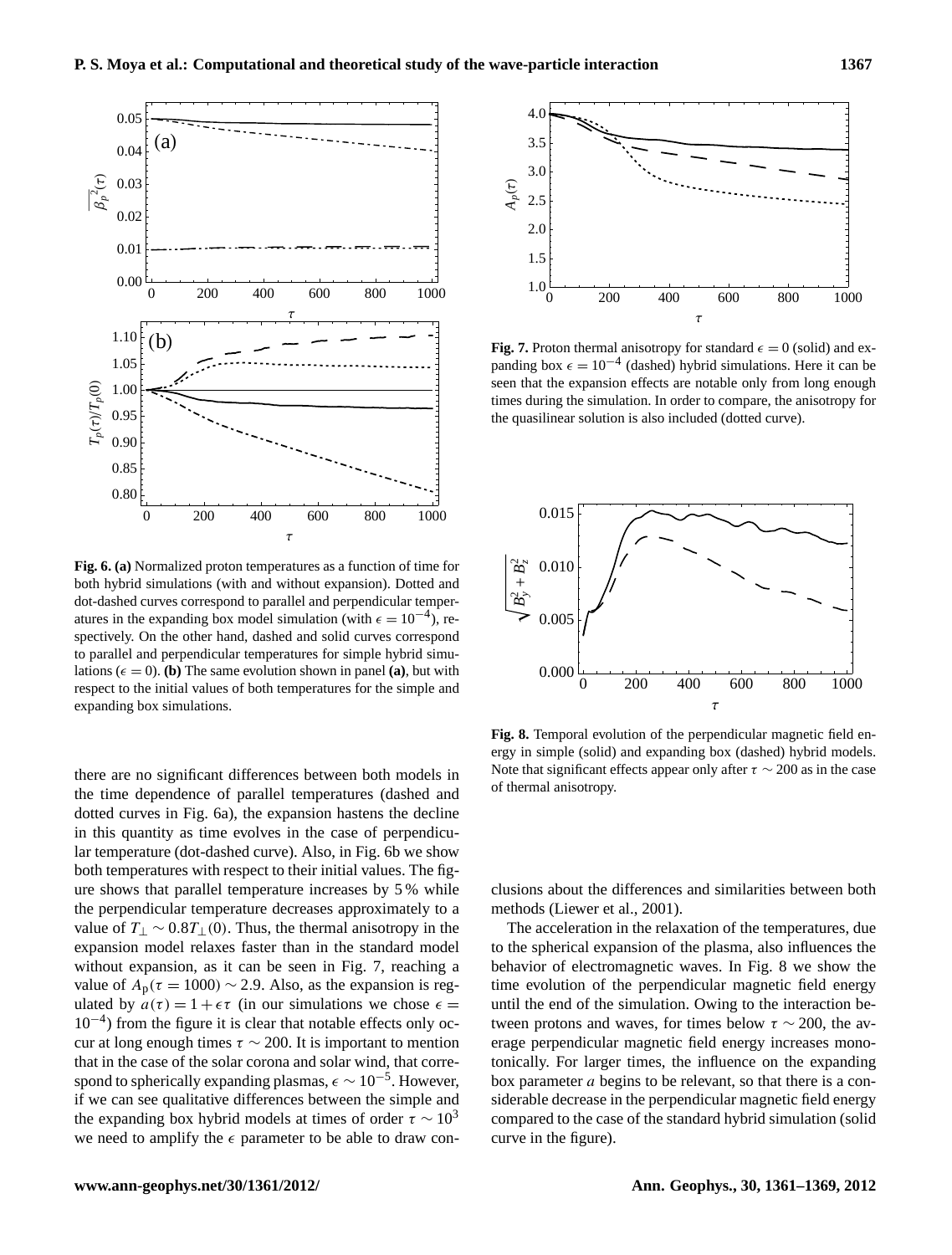

<span id="page-6-0"></span>**Fig. 6. (a)** Normalized proton temperatures as a function of time for both hybrid simulations (with and without expansion). Dotted and dot-dashed curves correspond to parallel and perpendicular temperatures in the expanding box model simulation (with  $\epsilon = 10^{-4}$ ), respectively. On the other hand, dashed and solid curves correspond to parallel and perpendicular temperatures for simple hybrid simulations ( $\epsilon = 0$ ). **(b)** The same evolution shown in panel **(a)**, but with respect to the initial values of both temperatures for the simple and expanding box simulations.

there are no significant differences between both models in the time dependence of parallel temperatures (dashed and dotted curves in Fig. [6a](#page-6-0)), the expansion hastens the decline in this quantity as time evolves in the case of perpendicular temperature (dot-dashed curve). Also, in Fig. [6b](#page-6-0) we show both temperatures with respect to their initial values. The figure shows that parallel temperature increases by 5 % while the perpendicular temperature decreases approximately to a value of  $T_1 \sim 0.8T_1(0)$ . Thus, the thermal anisotropy in the expansion model relaxes faster than in the standard model without expansion, as it can be seen in Fig. [7,](#page-6-1) reaching a value of  $A_p(\tau = 1000) \sim 2.9$ . Also, as the expansion is regulated by  $a(\tau) = 1 + \epsilon \tau$  (in our simulations we chose  $\epsilon =$ 10−<sup>4</sup> ) from the figure it is clear that notable effects only occur at long enough times  $\tau \sim 200$ . It is important to mention that in the case of the solar corona and solar wind, that correspond to spherically expanding plasmas,  $\epsilon \sim 10^{-5}$ . However, if we can see qualitative differences between the simple and the expanding box hybrid models at times of order  $\tau \sim 10^3$ we need to amplify the  $\epsilon$  parameter to be able to draw con-



<span id="page-6-1"></span>**Fig. 7.** Proton thermal anisotropy for standard  $\epsilon = 0$  (solid) and expanding box  $\epsilon = 10^{-4}$  (dashed) hybrid simulations. Here it can be seen that the expansion effects are notable only from long enough times during the simulation. In order to compare, the anisotropy for the quasilinear solution is also included (dotted curve).



<span id="page-6-2"></span>**Fig. 8.** Temporal evolution of the perpendicular magnetic field energy in simple (solid) and expanding box (dashed) hybrid models. Note that significant effects appear only after  $\tau \sim 200$  as in the case of thermal anisotropy.

clusions about the differences and similarities between both methods [\(Liewer et al.,](#page-8-23) [2001\)](#page-8-23).

The acceleration in the relaxation of the temperatures, due to the spherical expansion of the plasma, also influences the behavior of electromagnetic waves. In Fig. [8](#page-6-2) we show the time evolution of the perpendicular magnetic field energy until the end of the simulation. Owing to the interaction between protons and waves, for times below  $\tau \sim 200$ , the average perpendicular magnetic field energy increases monotonically. For larger times, the influence on the expanding box parameter  $a$  begins to be relevant, so that there is a considerable decrease in the perpendicular magnetic field energy compared to the case of the standard hybrid simulation (solid curve in the figure).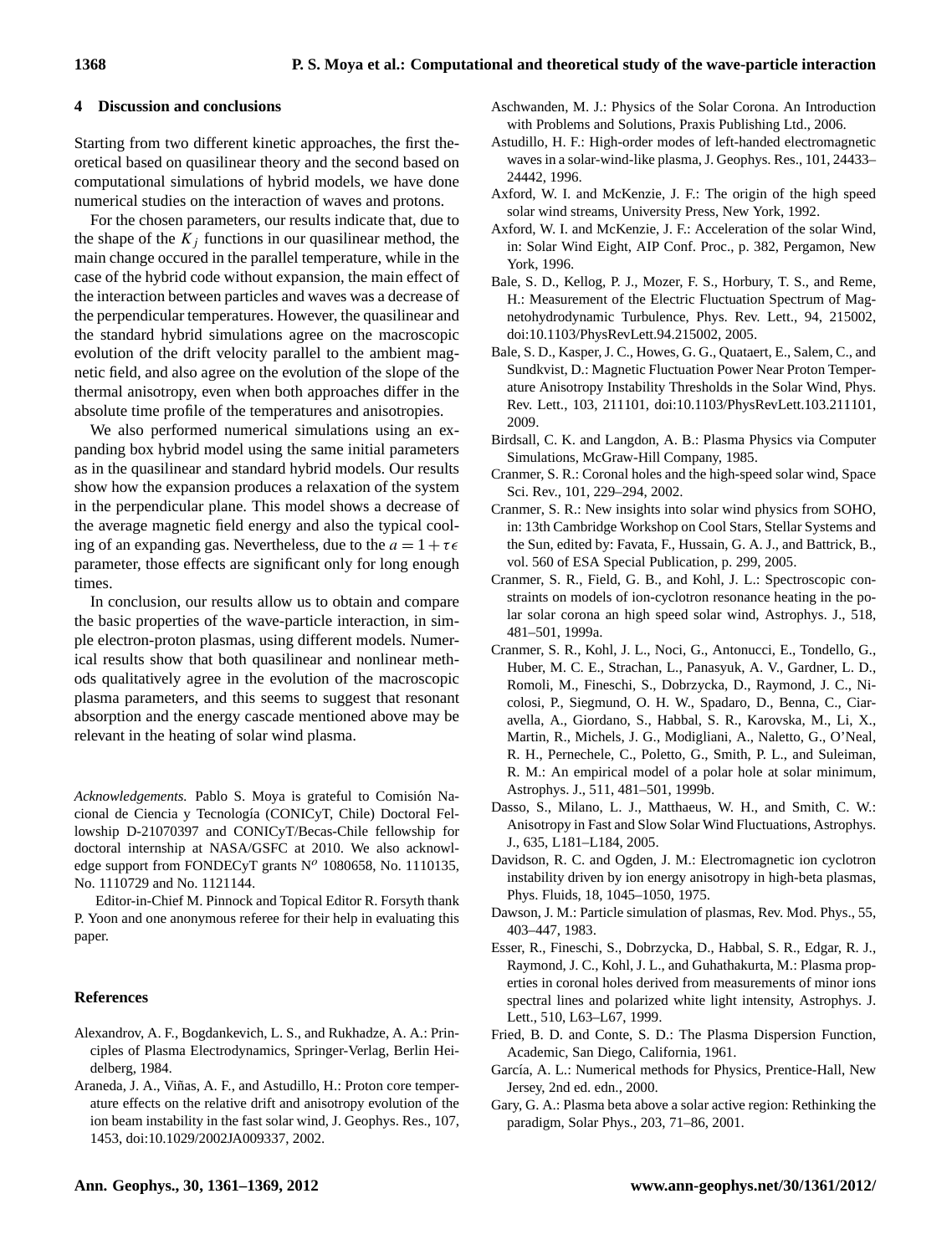### <span id="page-7-12"></span>**4 Discussion and conclusions**

Starting from two different kinetic approaches, the first theoretical based on quasilinear theory and the second based on computational simulations of hybrid models, we have done numerical studies on the interaction of waves and protons.

For the chosen parameters, our results indicate that, due to the shape of the  $K_i$  functions in our quasilinear method, the main change occured in the parallel temperature, while in the case of the hybrid code without expansion, the main effect of the interaction between particles and waves was a decrease of the perpendicular temperatures. However, the quasilinear and the standard hybrid simulations agree on the macroscopic evolution of the drift velocity parallel to the ambient magnetic field, and also agree on the evolution of the slope of the thermal anisotropy, even when both approaches differ in the absolute time profile of the temperatures and anisotropies.

We also performed numerical simulations using an expanding box hybrid model using the same initial parameters as in the quasilinear and standard hybrid models. Our results show how the expansion produces a relaxation of the system in the perpendicular plane. This model shows a decrease of the average magnetic field energy and also the typical cooling of an expanding gas. Nevertheless, due to the  $a = 1 + \tau \epsilon$ parameter, those effects are significant only for long enough times.

In conclusion, our results allow us to obtain and compare the basic properties of the wave-particle interaction, in simple electron-proton plasmas, using different models. Numerical results show that both quasilinear and nonlinear methods qualitatively agree in the evolution of the macroscopic plasma parameters, and this seems to suggest that resonant absorption and the energy cascade mentioned above may be relevant in the heating of solar wind plasma.

Acknowledgements. Pablo S. Moya is grateful to Comisión Nacional de Ciencia y Tecnología (CONICyT, Chile) Doctoral Fellowship D-21070397 and CONICyT/Becas-Chile fellowship for doctoral internship at NASA/GSFC at 2010. We also acknowledge support from FONDECyT grants  $N^o$  1080658, No. 1110135, No. 1110729 and No. 1121144.

Editor-in-Chief M. Pinnock and Topical Editor R. Forsyth thank P. Yoon and one anonymous referee for their help in evaluating this paper.

#### **References**

- <span id="page-7-10"></span>Alexandrov, A. F., Bogdankevich, L. S., and Rukhadze, A. A.: Principles of Plasma Electrodynamics, Springer-Verlag, Berlin Heidelberg, 1984.
- <span id="page-7-11"></span>Araneda, J. A., Viñas, A. F., and Astudillo, H.: Proton core temperature effects on the relative drift and anisotropy evolution of the ion beam instability in the fast solar wind, J. Geophys. Res., 107, 1453, [doi:10.1029/2002JA009337,](http://dx.doi.org/10.1029/2002JA009337) 2002.
- <span id="page-7-15"></span>Aschwanden, M. J.: Physics of the Solar Corona. An Introduction with Problems and Solutions, Praxis Publishing Ltd., 2006.
- <span id="page-7-17"></span>Astudillo, H. F.: High-order modes of left-handed electromagnetic waves in a solar-wind-like plasma, J. Geophys. Res., 101, 24433– 24442, 1996.
- <span id="page-7-0"></span>Axford, W. I. and McKenzie, J. F.: The origin of the high speed solar wind streams, University Press, New York, 1992.
- <span id="page-7-1"></span>Axford, W. I. and McKenzie, J. F.: Acceleration of the solar Wind, in: Solar Wind Eight, AIP Conf. Proc., p. 382, Pergamon, New York, 1996.
- <span id="page-7-7"></span>Bale, S. D., Kellog, P. J., Mozer, F. S., Horbury, T. S., and Reme, H.: Measurement of the Electric Fluctuation Spectrum of Magnetohydrodynamic Turbulence, Phys. Rev. Lett., 94, 215002, [doi:10.1103/PhysRevLett.94.215002,](http://dx.doi.org/10.1103/PhysRevLett.94.215002) 2005.
- <span id="page-7-8"></span>Bale, S. D., Kasper, J. C., Howes, G. G., Quataert, E., Salem, C., and Sundkvist, D.: Magnetic Fluctuation Power Near Proton Temperature Anisotropy Instability Thresholds in the Solar Wind, Phys. Rev. Lett., 103, 211101, [doi:10.1103/PhysRevLett.103.211101,](http://dx.doi.org/10.1103/PhysRevLett.103.211101) 2009.
- <span id="page-7-20"></span>Birdsall, C. K. and Langdon, A. B.: Plasma Physics via Computer Simulations, McGraw-Hill Company, 1985.
- <span id="page-7-5"></span>Cranmer, S. R.: Coronal holes and the high-speed solar wind, Space Sci. Rev., 101, 229–294, 2002.
- <span id="page-7-14"></span>Cranmer, S. R.: New insights into solar wind physics from SOHO, in: 13th Cambridge Workshop on Cool Stars, Stellar Systems and the Sun, edited by: Favata, F., Hussain, G. A. J., and Battrick, B., vol. 560 of ESA Special Publication, p. 299, 2005.
- <span id="page-7-2"></span>Cranmer, S. R., Field, G. B., and Kohl, J. L.: Spectroscopic constraints on models of ion-cyclotron resonance heating in the polar solar corona an high speed solar wind, Astrophys. J., 518, 481–501, 1999a.
- <span id="page-7-3"></span>Cranmer, S. R., Kohl, J. L., Noci, G., Antonucci, E., Tondello, G., Huber, M. C. E., Strachan, L., Panasyuk, A. V., Gardner, L. D., Romoli, M., Fineschi, S., Dobrzycka, D., Raymond, J. C., Nicolosi, P., Siegmund, O. H. W., Spadaro, D., Benna, C., Ciaravella, A., Giordano, S., Habbal, S. R., Karovska, M., Li, X., Martin, R., Michels, J. G., Modigliani, A., Naletto, G., O'Neal, R. H., Pernechele, C., Poletto, G., Smith, P. L., and Suleiman, R. M.: An empirical model of a polar hole at solar minimum, Astrophys. J., 511, 481–501, 1999b.
- <span id="page-7-6"></span>Dasso, S., Milano, L. J., Matthaeus, W. H., and Smith, C. W.: Anisotropy in Fast and Slow Solar Wind Fluctuations, Astrophys. J., 635, L181–L184, 2005.
- <span id="page-7-9"></span>Davidson, R. C. and Ogden, J. M.: Electromagnetic ion cyclotron instability driven by ion energy anisotropy in high-beta plasmas, Phys. Fluids, 18, 1045–1050, 1975.
- <span id="page-7-19"></span>Dawson, J. M.: Particle simulation of plasmas, Rev. Mod. Phys., 55, 403–447, 1983.
- <span id="page-7-4"></span>Esser, R., Fineschi, S., Dobrzycka, D., Habbal, S. R., Edgar, R. J., Raymond, J. C., Kohl, J. L., and Guhathakurta, M.: Plasma properties in coronal holes derived from measurements of minor ions spectral lines and polarized white light intensity, Astrophys. J. Lett., 510, L63–L67, 1999.
- <span id="page-7-13"></span>Fried, B. D. and Conte, S. D.: The Plasma Dispersion Function, Academic, San Diego, California, 1961.
- <span id="page-7-18"></span>García, A. L.: Numerical methods for Physics, Prentice-Hall, New Jersey, 2nd ed. edn., 2000.
- <span id="page-7-16"></span>Gary, G. A.: Plasma beta above a solar active region: Rethinking the paradigm, Solar Phys., 203, 71–86, 2001.